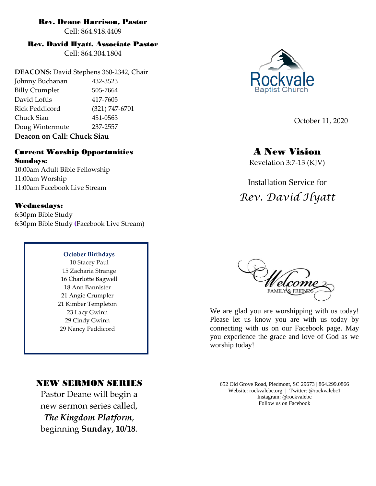### Rev. Deane Harrison, Pastor

Cell: 864.918.4409

### Rev. David Hyatt, Associate Pastor

Cell: 864.304.1804

**DEACONS:** David Stephens 360-2342, Chair Johnny Buchanan 432-3523 Billy Crumpler 505-7664 David Loftis 417-7605 Rick Peddicord (321) 747-6701 Chuck Siau 451-0563 Doug Wintermute 237-2557 **Deacon on Call: Chuck Siau**

### Current Worship Opportunities

Sundays: 10:00am Adult Bible Fellowship 11:00am Worship 11:00am Facebook Live Stream

### Wednesdays:

6:30pm Bible Study 6:30pm Bible Study **(**Facebook Live Stream)

#### **October Birthdays**

10 Stacey Paul 15 Zacharia Strange 16 Charlotte Bagwell 18 Ann Bannister 21 Angie Crumpler 21 Kimber Templeton 23 Lacy Gwinn 29 Cindy Gwinn 29 Nancy Peddicord

### NEW SERMON SERIES

Pastor Deane will begin a new sermon series called, *The Kingdom Platform*, beginning **Sunday, 10/18**.



October 11, 2020

## A New Vision

Revelation 3:7-13 (KJV)

# Installation Service for *Rev. David Hyatt*



We are glad you are worshipping with us today! Please let us know you are with us today by connecting with us on our Facebook page. May you experience the grace and love of God as we worship today!

652 Old Grove Road, Piedmont, SC 29673 | 864.299.0866 Website: rockvalebc.org *|* Twitter: @rockvalebc1 Instagram: @rockvalebc Follow us on Facebook